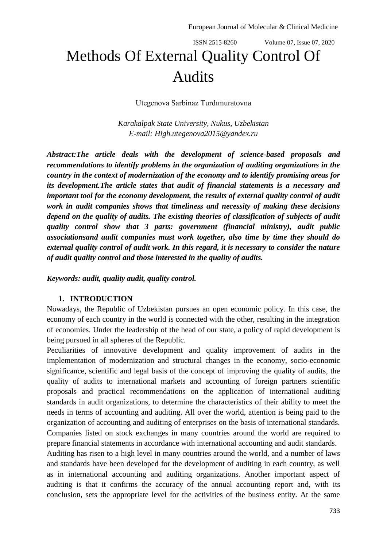# ISSN 2515-8260 Volume 07, Issue 07, 2020 Methods Of External Quality Control Of Audits

Utegenova Sarbinaz Turdımuratovna

*Karakalpak State University, Nukus, Uzbekistan E-mail: [High.utegenova2015@yandex.ru](mailto:High.utegenova2015@yandex.ru)*

*Abstract:The article deals with the development of science-based proposals and recommendations to identify problems in the organization of auditing organizations in the country in the context of modernization of the economy and to identify promising areas for its development.The article states that audit of financial statements is a necessary and important tool for the economy development, the results of external quality control of audit work in audit companies shows that timeliness and necessity of making these decisions depend on the quality of audits. The existing theories of classification of subjects of audit quality control show that 3 parts: government (financial ministry), audit public associationsand audit companies must work together, also time by time they should do external quality control of audit work. In this regard, it is necessary to consider the nature of audit quality control and those interested in the quality of audits.*

*Keywords: audit, quality audit, quality control.*

#### **1. INTRODUCTION**

Nowadays, the Republic of Uzbekistan pursues an open economic policy. In this case, the economy of each country in the world is connected with the other, resulting in the integration of economies. Under the leadership of the head of our state, a policy of rapid development is being pursued in all spheres of the Republic.

Peculiarities of innovative development and quality improvement of audits in the implementation of modernization and structural changes in the economy, socio-economic significance, scientific and legal basis of the concept of improving the quality of audits, the quality of audits to international markets and accounting of foreign partners scientific proposals and practical recommendations on the application of international auditing standards in audit organizations, to determine the characteristics of their ability to meet the needs in terms of accounting and auditing. All over the world, attention is being paid to the organization of accounting and auditing of enterprises on the basis of international standards. Companies listed on stock exchanges in many countries around the world are required to prepare financial statements in accordance with international accounting and audit standards.

Auditing has risen to a high level in many countries around the world, and a number of laws and standards have been developed for the development of auditing in each country, as well as in international accounting and auditing organizations. Another important aspect of auditing is that it confirms the accuracy of the annual accounting report and, with its conclusion, sets the appropriate level for the activities of the business entity. At the same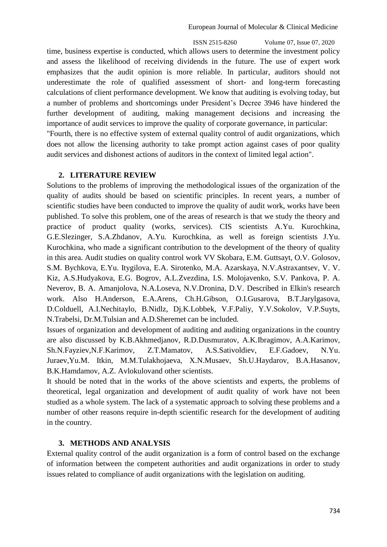ISSN 2515-8260 Volume 07, Issue 07, 2020 time, business expertise is conducted, which allows users to determine the investment policy and assess the likelihood of receiving dividends in the future. The use of expert work emphasizes that the audit opinion is more reliable. In particular, auditors should not underestimate the role of qualified assessment of short- and long-term forecasting calculations of client performance development. We know that auditing is evolving today, but a number of problems and shortcomings under President's Decree 3946 have hindered the further development of auditing, making management decisions and increasing the importance of audit services to improve the quality of corporate governance, in particular: "Fourth, there is no effective system of external quality control of audit organizations, which does not allow the licensing authority to take prompt action against cases of poor quality audit services and dishonest actions of auditors in the context of limited legal action".

### **2. LITERATURE REVIEW**

Solutions to the problems of improving the methodological issues of the organization of the quality of audits should be based on scientific principles. In recent years, a number of scientific studies have been conducted to improve the quality of audit work, works have been published. To solve this problem, one of the areas of research is that we study the theory and practice of product quality (works, services). CIS scientists A.Yu. Kurochkina, G.E.Slezinger, S.A.Zhdanov, A.Yu. Kurochkina, as well as foreign scientists J.Yu. Kurochkina, who made a significant contribution to the development of the theory of quality in this area. Audit studies on quality control work VV Skobara, E.M. Guttsayt, O.V. Golosov, S.M. Bychkova, E.Yu. Itygilova, E.A. Sirotenko, M.A. Azarskaya, N.V.Astraxantsev, V. V. Kiz, A.S.Hudyakova, E.G. Bogrov, A.L.Zvezdina, I.S. Molojavenko, S.V. Pankova, P. A. Neverov, B. A. Amanjolova, N.A.Loseva, N.V.Dronina, D.V. Described in Elkin's research work. Also H.Anderson, E.A.Arens, Ch.H.Gibson, O.I.Gusarova, B.T.Jarylgasova, D.Colduell, A.I.Nechitaylo, B.Nidlz, Dj.K.Lobbek, V.F.Paliy, Y.V.Sokolov, V.P.Suyts, N.Trabelsi, Dr.M.Tulsian and A.D.Sheremet can be included.

Issues of organization and development of auditing and auditing organizations in the country are also discussed by K.B.Akhmedjanov, R.D.Dusmuratov, A.K.Ibragimov, A.A.Karimov, Sh.N.Fayziev,N.F.Karimov, Z.T.Mamatov, A.S.Sativoldiev, E.F.Gadoev, N.Yu. Juraev,Yu.M. Itkin, M.M.Tulakhojaeva, X.N.Musaev, Sh.U.Haydarov, B.A.Hasanov, B.K.Hamdamov, A.Z. Avlokulovand other scientists.

It should be noted that in the works of the above scientists and experts, the problems of theoretical, legal organization and development of audit quality of work have not been studied as a whole system. The lack of a systematic approach to solving these problems and a number of other reasons require in-depth scientific research for the development of auditing in the country.

# **3. METHODS AND ANALYSIS**

External quality control of the audit organization is a form of control based on the exchange of information between the competent authorities and audit organizations in order to study issues related to compliance of audit organizations with the legislation on auditing.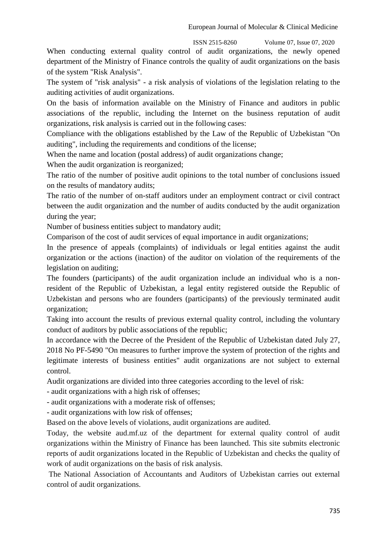When conducting external quality control of audit organizations, the newly opened department of the Ministry of Finance controls the quality of audit organizations on the basis of the system "Risk Analysis".

The system of "risk analysis" - a risk analysis of violations of the legislation relating to the auditing activities of audit organizations.

On the basis of information available on the Ministry of Finance and auditors in public associations of the republic, including the Internet on the business reputation of audit organizations, risk analysis is carried out in the following cases:

Compliance with the obligations established by the Law of the Republic of Uzbekistan "On auditing", including the requirements and conditions of the license;

When the name and location (postal address) of audit organizations change;

When the audit organization is reorganized;

The ratio of the number of positive audit opinions to the total number of conclusions issued on the results of mandatory audits;

The ratio of the number of on-staff auditors under an employment contract or civil contract between the audit organization and the number of audits conducted by the audit organization during the year;

Number of business entities subject to mandatory audit;

Comparison of the cost of audit services of equal importance in audit organizations;

In the presence of appeals (complaints) of individuals or legal entities against the audit organization or the actions (inaction) of the auditor on violation of the requirements of the legislation on auditing;

The founders (participants) of the audit organization include an individual who is a nonresident of the Republic of Uzbekistan, a legal entity registered outside the Republic of Uzbekistan and persons who are founders (participants) of the previously terminated audit organization;

Taking into account the results of previous external quality control, including the voluntary conduct of auditors by public associations of the republic;

In accordance with the Decree of the President of the Republic of Uzbekistan dated July 27, 2018 No PF-5490 "On measures to further improve the system of protection of the rights and legitimate interests of business entities" audit organizations are not subject to external control.

Audit organizations are divided into three categories according to the level of risk:

- audit organizations with a high risk of offenses;

- audit organizations with a moderate risk of offenses;

- audit organizations with low risk of offenses;

Based on the above levels of violations, audit organizations are audited.

Today, the website aud.mf.uz of the department for external quality control of audit organizations within the Ministry of Finance has been launched. This site submits electronic reports of audit organizations located in the Republic of Uzbekistan and checks the quality of work of audit organizations on the basis of risk analysis.

The National Association of Accountants and Auditors of Uzbekistan carries out external control of audit organizations.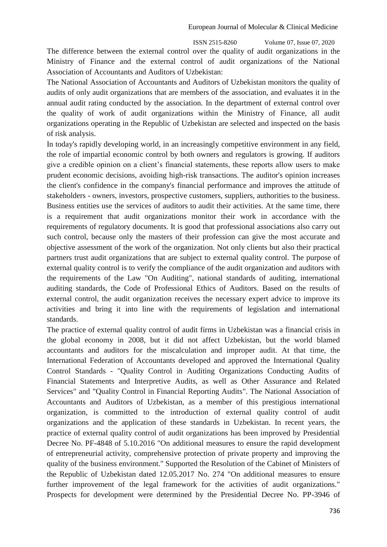The difference between the external control over the quality of audit organizations in the Ministry of Finance and the external control of audit organizations of the National Association of Accountants and Auditors of Uzbekistan:

The National Association of Accountants and Auditors of Uzbekistan monitors the quality of audits of only audit organizations that are members of the association, and evaluates it in the annual audit rating conducted by the association. In the department of external control over the quality of work of audit organizations within the Ministry of Finance, all audit organizations operating in the Republic of Uzbekistan are selected and inspected on the basis of risk analysis.

In today's rapidly developing world, in an increasingly competitive environment in any field, the role of impartial economic control by both owners and regulators is growing. If auditors give a credible opinion on a client's financial statements, these reports allow users to make prudent economic decisions, avoiding high-risk transactions. The auditor's opinion increases the client's confidence in the company's financial performance and improves the attitude of stakeholders - owners, investors, prospective customers, suppliers, authorities to the business. Business entities use the services of auditors to audit their activities. At the same time, there is a requirement that audit organizations monitor their work in accordance with the requirements of regulatory documents. It is good that professional associations also carry out such control, because only the masters of their profession can give the most accurate and objective assessment of the work of the organization. Not only clients but also their practical partners trust audit organizations that are subject to external quality control. The purpose of external quality control is to verify the compliance of the audit organization and auditors with the requirements of the Law "On Auditing", national standards of auditing, international auditing standards, the Code of Professional Ethics of Auditors. Based on the results of external control, the audit organization receives the necessary expert advice to improve its activities and bring it into line with the requirements of legislation and international standards.

The practice of external quality control of audit firms in Uzbekistan was a financial crisis in the global economy in 2008, but it did not affect Uzbekistan, but the world blamed accountants and auditors for the miscalculation and improper audit. At that time, the International Federation of Accountants developed and approved the International Quality Control Standards - "Quality Control in Auditing Organizations Conducting Audits of Financial Statements and Interpretive Audits, as well as Other Assurance and Related Services" and "Quality Control in Financial Reporting Audits". The National Association of Accountants and Auditors of Uzbekistan, as a member of this prestigious international organization, is committed to the introduction of external quality control of audit organizations and the application of these standards in Uzbekistan. In recent years, the practice of external quality control of audit organizations has been improved by Presidential Decree No. PF-4848 of 5.10.2016 "On additional measures to ensure the rapid development of entrepreneurial activity, comprehensive protection of private property and improving the quality of the business environment." Supported the Resolution of the Cabinet of Ministers of the Republic of Uzbekistan dated 12.05.2017 No. 274 "On additional measures to ensure further improvement of the legal framework for the activities of audit organizations." Prospects for development were determined by the Presidential Decree No. PP-3946 of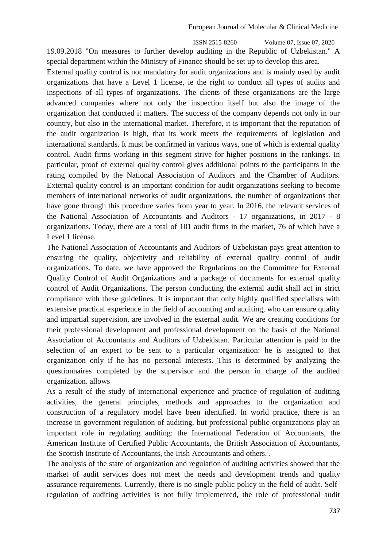19.09.2018 "On measures to further develop auditing in the Republic of Uzbekistan." A special department within the Ministry of Finance should be set up to develop this area.

External quality control is not mandatory for audit organizations and is mainly used by audit organizations that have a Level 1 license, ie the right to conduct all types of audits and inspections of all types of organizations. The clients of these organizations are the large advanced companies where not only the inspection itself but also the image of the organization that conducted it matters. The success of the company depends not only in our country, but also in the international market. Therefore, it is important that the reputation of the audit organization is high, that its work meets the requirements of legislation and international standards. It must be confirmed in various ways, one of which is external quality control. Audit firms working in this segment strive for higher positions in the rankings. In particular, proof of external quality control gives additional points to the participants in the rating compiled by the National Association of Auditors and the Chamber of Auditors. External quality control is an important condition for audit organizations seeking to become members of international networks of audit organizations. the number of organizations that have gone through this procedure varies from year to year. In 2016, the relevant services of the National Association of Accountants and Auditors - 17 organizations, in 2017 - 8 organizations. Today, there are a total of 101 audit firms in the market, 76 of which have a Level 1 license.

The National Association of Accountants and Auditors of Uzbekistan pays great attention to ensuring the quality, objectivity and reliability of external quality control of audit organizations. To date, we have approved the Regulations on the Committee for External Quality Control of Audit Organizations and a package of documents for external quality control of Audit Organizations. The person conducting the external audit shall act in strict compliance with these guidelines. It is important that only highly qualified specialists with extensive practical experience in the field of accounting and auditing, who can ensure quality and impartial supervision, are involved in the external audit. We are creating conditions for their professional development and professional development on the basis of the National Association of Accountants and Auditors of Uzbekistan. Particular attention is paid to the selection of an expert to be sent to a particular organization: he is assigned to that organization only if he has no personal interests. This is determined by analyzing the questionnaires completed by the supervisor and the person in charge of the audited organization. allows

As a result of the study of international experience and practice of regulation of auditing activities, the general principles, methods and approaches to the organization and construction of a regulatory model have been identified. In world practice, there is an increase in government regulation of auditing, but professional public organizations play an important role in regulating auditing: the International Federation of Accountants, the American Institute of Certified Public Accountants, the British Association of Accountants, the Scottish Institute of Accountants, the Irish Accountants and others. .

The analysis of the state of organization and regulation of auditing activities showed that the market of audit services does not meet the needs and development trends and quality assurance requirements. Currently, there is no single public policy in the field of audit. Selfregulation of auditing activities is not fully implemented, the role of professional audit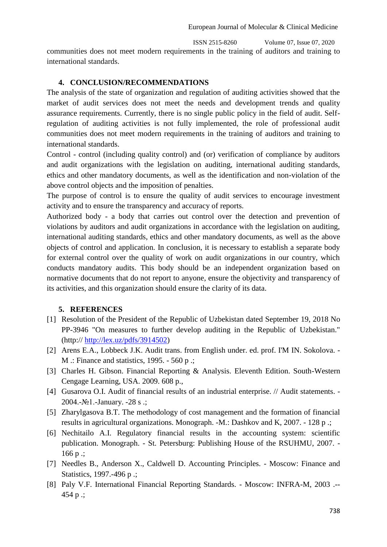European Journal of Molecular & Clinical Medicine

ISSN 2515-8260 Volume 07, Issue 07, 2020 communities does not meet modern requirements in the training of auditors and training to international standards.

### **4. CONCLUSION/RECOMMENDATIONS**

The analysis of the state of organization and regulation of auditing activities showed that the market of audit services does not meet the needs and development trends and quality assurance requirements. Currently, there is no single public policy in the field of audit. Selfregulation of auditing activities is not fully implemented, the role of professional audit communities does not meet modern requirements in the training of auditors and training to international standards.

Control - control (including quality control) and (or) verification of compliance by auditors and audit organizations with the legislation on auditing, international auditing standards, ethics and other mandatory documents, as well as the identification and non-violation of the above control objects and the imposition of penalties.

The purpose of control is to ensure the quality of audit services to encourage investment activity and to ensure the transparency and accuracy of reports.

Authorized body - a body that carries out control over the detection and prevention of violations by auditors and audit organizations in accordance with the legislation on auditing, international auditing standards, ethics and other mandatory documents, as well as the above objects of control and application. In conclusion, it is necessary to establish a separate body for external control over the quality of work on audit organizations in our country, which conducts mandatory audits. This body should be an independent organization based on normative documents that do not report to anyone, ensure the objectivity and transparency of its activities, and this organization should ensure the clarity of its data.

# **5. REFERENCES**

- [1] Resolution of the President of the Republic of Uzbekistan dated September 19, 2018 No PP-3946 "On measures to further develop auditing in the Republic of Uzbekistan." (http:// [http://lex.uz/pdfs/3914502\)](http://lex.uz/pdfs/3914502)
- [2] Arens E.A., Lobbeck J.K. Audit trans. from English under. ed. prof. I'M IN. Sokolova. M .: Finance and statistics, 1995. - 560 p .;
- [3] Charles H. Gibson. Financial Reporting & Analysis. Eleventh Edition. South-Western Cengage Learning, USA. 2009. 608 p.,
- [4] Gusarova O.I. Audit of financial results of an industrial enterprise. // Audit statements. 2004.-№1.-January. -28 s .;
- [5] Zharylgasova B.T. The methodology of cost management and the formation of financial results in agricultural organizations. Monograph. -M.: Dashkov and K, 2007. - 128 p .;
- [6] Nechitailo A.I. Regulatory financial results in the accounting system: scientific publication. Monograph. - St. Petersburg: Publishing House of the RSUHMU, 2007. -  $166 p$ :
- [7] Needles B., Anderson X., Caldwell D. Accounting Principles. Moscow: Finance and Statistics, 1997.-496 p .;
- [8] Paly V.F. International Financial Reporting Standards. Moscow: INFRA-M, 2003 .-- 454 p .;